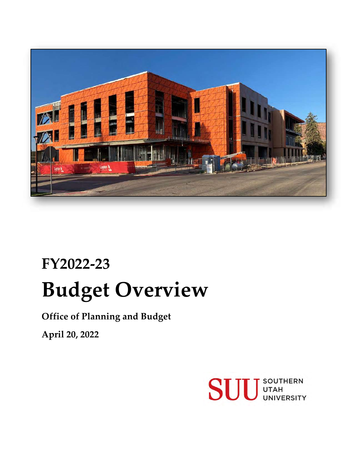

# **FY2022-23 Budget Overview**

**Office of Planning and Budget**

**April 20, 2022**

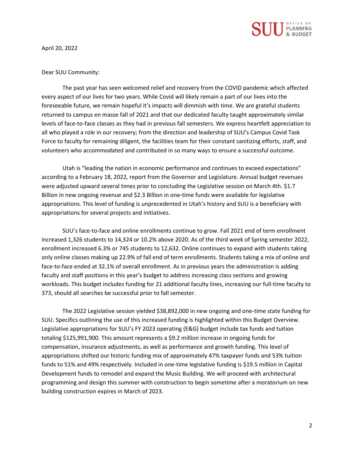

April 20, 2022

#### Dear SUU Community:

The past year has seen welcomed relief and recovery from the COVID pandemic which affected every aspect of our lives for two years. While Covid will likely remain a part of our lives into the foreseeable future, we remain hopeful it's impacts will dimmish with time. We are grateful students returned to campus en masse fall of 2021 and that our dedicated faculty taught approximately similar levels of face-to-face classes as they had in previous fall semesters. We express heartfelt appreciation to all who played a role in our recovery; from the direction and leadership of SUU's Campus Covid Task Force to faculty for remaining diligent, the facilities team for their constant sanitizing efforts, staff, and volunteers who accommodated and contributed in so many ways to ensure a successful outcome.

Utah is "leading the nation in economic performance and continues to exceed expectations" according to a February 18, 2022, report from the Governor and Legislature. Annual budget revenues were adjusted upward several times prior to concluding the Legislative session on March 4th. \$1.7 Billion in new ongoing revenue and \$2.3 Billion in one-time funds were available for legislative appropriations. This level of funding is unprecedented in Utah's history and SUU is a beneficiary with appropriations for several projects and initiatives.

SUU's face-to-face and online enrollments continue to grow. Fall 2021 end of term enrollment increased 1,326 students to 14,324 or 10.2% above 2020. As of the third week of Spring semester 2022, enrollment increased 6.3% or 745 students to 12,632. Online continues to expand with students taking only online classes making up 22.9% of fall end of term enrollments. Students taking a mix of online and face-to-face ended at 32.1% of overall enrollment. As in previous years the administration is adding faculty and staff positions in this year's budget to address increasing class sections and growing workloads. This budget includes funding for 21 additional faculty lines, increasing our full-time faculty to 373, should all searches be successful prior to fall semester.

The 2022 Legislative session yielded \$38,892,000 in new ongoing and one-time state funding for SUU. Specifics outlining the use of this increased funding is highlighted within this Budget Overview. Legislative appropriations for SUU's FY 2023 operating (E&G) budget include tax funds and tuition totaling \$125,991,900. This amount represents a \$9.2 million increase in ongoing funds for compensation, insurance adjustments, as well as performance and growth funding. This level of appropriations shifted our historic funding mix of approximately 47% taxpayer funds and 53% tuition funds to 51% and 49% respectively. Included in one-time legislative funding is \$19.5 million in Capital Development funds to remodel and expand the Music Building. We will proceed with architectural programming and design this summer with construction to begin sometime after a moratorium on new building construction expires in March of 2023.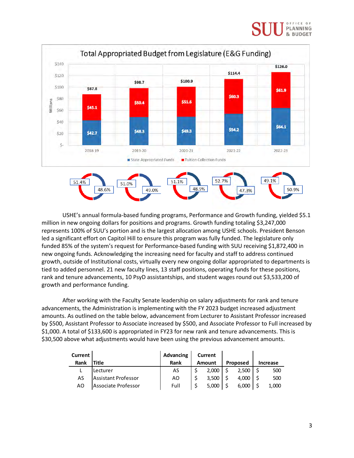#### PLANNING & BUDGET



USHE's annual formula-based funding programs, Performance and Growth funding, yielded \$5.1 million in new ongoing dollars for positions and programs. Growth funding totaling \$3,247,000 represents 100% of SUU's portion and is the largest allocation among USHE schools. President Benson led a significant effort on Capitol Hill to ensure this program was fully funded. The legislature only funded 85% of the system's request for Performance-based funding with SUU receiving \$1,872,400 in new ongoing funds. Acknowledging the increasing need for faculty and staff to address continued growth, outside of Institutional costs, virtually every new ongoing dollar appropriated to departments is tied to added personnel. 21 new faculty lines, 13 staff positions, operating funds for these positions, rank and tenure advancements, 10 PsyD assistantships, and student wages round out \$3,533,200 of growth and performance funding.

After working with the Faculty Senate leadership on salary adjustments for rank and tenure advancements, the Administration is implementing with the FY 2023 budget increased adjustment amounts. As outlined on the table below, advancement from Lecturer to Assistant Professor increased by \$500, Assistant Professor to Associate increased by \$500, and Associate Professor to Full increased by \$1,000. A total of \$133,600 is appropriated in FY23 for new rank and tenure advancements. This is \$30,500 above what adjustments would have been using the previous advancement amounts.

| Current |                     | Advancing | Current       |          |          |
|---------|---------------------|-----------|---------------|----------|----------|
| Rank    | Title               | Rank      | <b>Amount</b> | Proposed | Increase |
|         | lLecturer           | AS        | 2,000         | 2,500    | 500      |
| AS      | Assistant Professor | AO        | 3.500         | 4.000    | 500      |
| AO      | Associate Professor | Full      | 5.000         | 6.000    | 1,000    |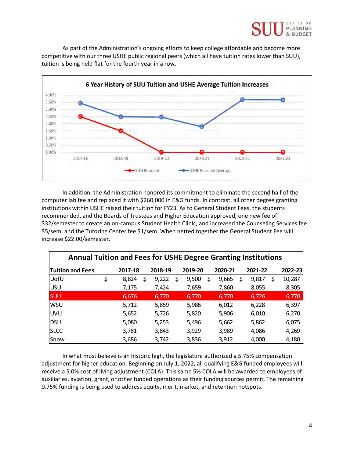

As part of the Administration's ongoing efforts to keep college affordable and become more competitive with our three USHE public regional peers (which all have tuition rates lower than SUU), tuition is being held flat for the fourth year in a row.



In addition, the Administration honored its commitment to eliminate the second half of the computer lab fee and replaced it with \$260,000 in E&G funds. In contrast, all other degree granting institutions within USHE raised their tuition for FY23. As to General Student Fees, the students recommended, and the Boards of Trustees and Higher Education approved, one new fee of \$32/semester to create an on-campus Student Health Clinic, and increased the Counseling Services fee \$5/sem. and the Tutoring Center fee \$1/sem. When netted together the General Student Fee will increase \$22.00/semester.

| <b>Annual Tuition and Fees for USHE Degree Granting Institutions</b> |    |         |    |         |    |         |    |         |             |              |
|----------------------------------------------------------------------|----|---------|----|---------|----|---------|----|---------|-------------|--------------|
| <b>Tuition and Fees</b>                                              |    | 2017-18 |    | 2018-19 |    | 2019-20 |    | 2020-21 | 2021-22     | 2022-23      |
| UofU                                                                 | \$ | 8,824   | \$ | 9,222   | \$ | 9,500   | \$ | 9,665   | \$<br>9,817 | \$<br>10,287 |
| <b>USU</b>                                                           |    | 7,175   |    | 7,424   |    | 7,659   |    | 7,860   | 8,055       | 8,305        |
| <b>SUU</b>                                                           |    | 6,676   |    | 6,770   |    | 6,770   |    | 6,770   | 6,726       | 6,770        |
| <b>WSU</b>                                                           |    | 5,712   |    | 5,859   |    | 5,986   |    | 6,012   | 6,228       | 6,397        |
| <b>UVU</b>                                                           |    | 5,652   |    | 5,726   |    | 5,820   |    | 5,906   | 6,010       | 6,270        |
| DSU                                                                  |    | 5,080   |    | 5,253   |    | 5,496   |    | 5,662   | 5,862       | 6,075        |
| <b>SLCC</b>                                                          |    | 3,781   |    | 3,843   |    | 3,929   |    | 3,989   | 4,086       | 4,269        |
| Snow                                                                 |    | 3,686   |    | 3,742   |    | 3,836   |    | 3,912   | 4,000       | 4,180        |

In what most believe is an historic high, the legislature authorized a 5.75% compensation adjustment for higher education. Beginning on July 1, 2022, all qualifying E&G funded employees will receive a 5.0% cost of living adjustment (COLA). This same 5% COLA will be awarded to employees of auxiliaries, aviation, grant, or other funded operations as their funding sources permit. The remaining 0.75% funding is being used to address equity, merit, market, and retention hotspots.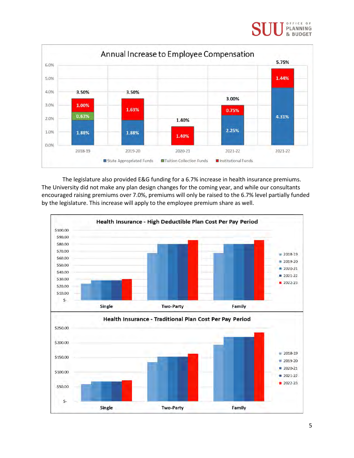#### OFFICE OF PLANNING & BUDGET



The legislature also provided E&G funding for a 6.7% increase in health insurance premiums. The University did not make any plan design changes for the coming year, and while our consultants encouraged raising premiums over 7.0%, premiums will only be raised to the 6.7% level partially funded by the legislature. This increase will apply to the employee premium share as well.

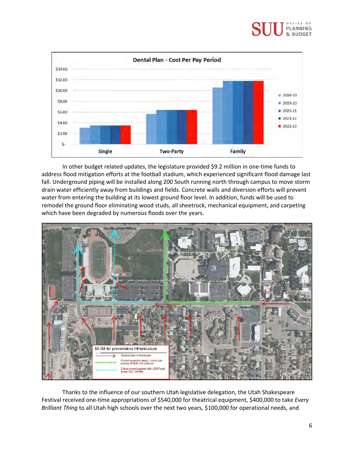#### PLANNING & BUDGET



In other budget related updates, the legislature provided \$9.2 million in one-time funds to address flood mitigation efforts at the football stadium, which experienced significant flood damage last fall. Underground piping will be installed along 200 South running north through campus to move storm drain water efficiently away from buildings and fields. Concrete walls and diversion efforts will prevent water from entering the building at its lowest ground floor level. In addition, funds will be used to remodel the ground floor eliminating wood studs, all sheetrock, mechanical equipment, and carpeting which have been degraded by numerous floods over the years.



Thanks to the influence of our southern Utah legislative delegation, the Utah Shakespeare Festival received one-time appropriations of \$540,000 for theatrical equipment, \$400,000 to take *Every Brilliant Thing* to all Utah high schools over the next two years, \$100,000 for operational needs, and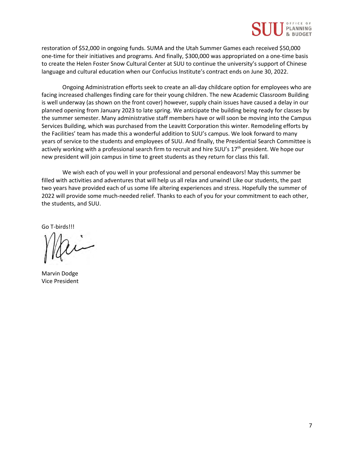

restoration of \$52,000 in ongoing funds. SUMA and the Utah Summer Games each received \$50,000 one-time for their initiatives and programs. And finally, \$300,000 was appropriated on a one-time basis to create the Helen Foster Snow Cultural Center at SUU to continue the university's support of Chinese language and cultural education when our Confucius Institute's contract ends on June 30, 2022.

Ongoing Administration efforts seek to create an all-day childcare option for employees who are facing increased challenges finding care for their young children. The new Academic Classroom Building is well underway (as shown on the front cover) however, supply chain issues have caused a delay in our planned opening from January 2023 to late spring. We anticipate the building being ready for classes by the summer semester. Many administrative staff members have or will soon be moving into the Campus Services Building, which was purchased from the Leavitt Corporation this winter. Remodeling efforts by the Facilities' team has made this a wonderful addition to SUU's campus. We look forward to many years of service to the students and employees of SUU. And finally, the Presidential Search Committee is actively working with a professional search firm to recruit and hire SUU's 17<sup>th</sup> president. We hope our new president will join campus in time to greet students as they return for class this fall.

We wish each of you well in your professional and personal endeavors! May this summer be filled with activities and adventures that will help us all relax and unwind! Like our students, the past two years have provided each of us some life altering experiences and stress. Hopefully the summer of 2022 will provide some much-needed relief. Thanks to each of you for your commitment to each other, the students, and SUU.

Go T-birds!!!

Marvin Dodge Vice President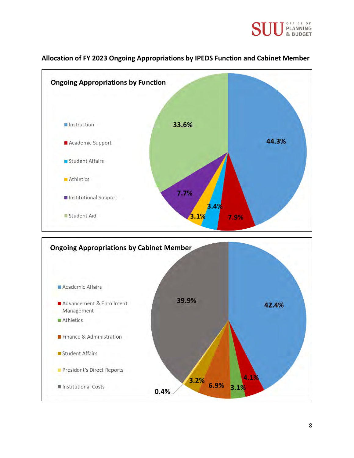



#### **Allocation of FY 2023 Ongoing Appropriations by IPEDS Function and Cabinet Member**

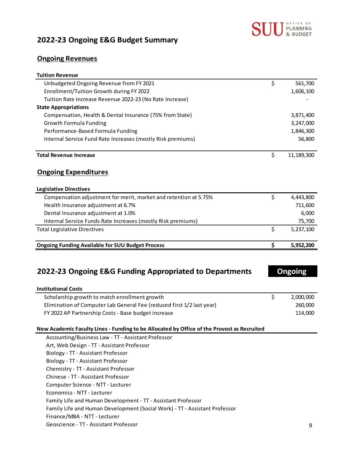

### **2022-23 Ongoing E&G Budget Summary**

#### **Ongoing Revenues**

| <b>Tuition Revenue</b>                                                                     |                  |
|--------------------------------------------------------------------------------------------|------------------|
| Unbudgeted Ongoing Revenue from FY 2021                                                    | \$<br>561,700    |
| Enrollment/Tuition Growth during FY 2022                                                   | 1,606,100        |
| Tuition Rate Increase Revenue 2022-23 (No Rate Increase)                                   |                  |
| <b>State Appropriations</b>                                                                |                  |
| Compensation, Health & Dental Insurance (75% from State)                                   | 3,871,400        |
| Growth Formula Funding                                                                     | 3,247,000        |
| Performance-Based Formula Funding                                                          | 1,846,300        |
| Internal Service Fund Rate Increases (mostly Risk premiums)                                | 56,800           |
| <b>Total Revenue Increase</b>                                                              | \$<br>11,189,300 |
| <b>Ongoing Expenditures</b>                                                                |                  |
| <b>Legislative Directives</b>                                                              |                  |
| Compensation adjustment for merit, market and retention at 5.75%                           | \$<br>4,443,800  |
| Health Insurance adjustment at 6.7%                                                        | 711,600          |
| Dental Insurance adjustment at 1.0%                                                        | 6,000            |
| Internal Service Funds Rate Increases (mostly Risk premiums)                               | 75,700           |
| <b>Total Legislative Directives</b>                                                        | \$<br>5,237,100  |
| <b>Ongoing Funding Available for SUU Budget Process</b>                                    | \$<br>5,952,200  |
| 2022-23 Ongoing E&G Funding Appropriated to Departments                                    | <b>Ongoing</b>   |
| <b>Institutional Costs</b>                                                                 |                  |
| Scholarship growth to match enrollment growth                                              | \$<br>2,000,000  |
| Elimination of Computer Lab General Fee (reduced first 1/2 last year)                      | 260,000          |
| FY 2022 AP Partnership Costs - Base budget increase                                        | 114,000          |
| New Academic Faculty Lines - Funding to be Allocated by Office of the Provost as Recruited |                  |
| Accounting/Business Law - TT - Assistant Professor                                         |                  |
| Art, Web Design - TT - Assistant Professor                                                 |                  |
| Biology - TT - Assistant Professor                                                         |                  |
| Biology - TT - Assistant Professor                                                         |                  |

Chemistry - TT - Assistant Professor

Chinese - TT - Assistant Professor

Computer Science - NTT - Lecturer

Economics - NTT - Lecturer

Family Life and Human Development - TT - Assistant Professor

Family Life and Human Development (Social Work) - TT - Assistant Professor

Finance/MBA - NTT - Lecturer

Geoscience - TT - Assistant Professor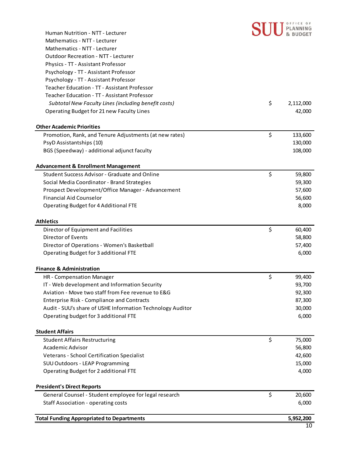

| Human Nutrition - NTT - Lecturer                           | & BUDGET        |
|------------------------------------------------------------|-----------------|
| Mathematics - NTT - Lecturer                               |                 |
| Mathematics - NTT - Lecturer                               |                 |
| <b>Outdoor Recreation - NTT - Lecturer</b>                 |                 |
| Physics - TT - Assistant Professor                         |                 |
| Psychology - TT - Assistant Professor                      |                 |
| Psychology - TT - Assistant Professor                      |                 |
| Teacher Education - TT - Assistant Professor               |                 |
| Teacher Education - TT - Assistant Professor               |                 |
| Subtotal New Faculty Lines (including benefit costs)       | \$<br>2,112,000 |
| Operating Budget for 21 new Faculty Lines                  | 42,000          |
| <b>Other Academic Priorities</b>                           |                 |
| Promotion, Rank, and Tenure Adjustments (at new rates)     | \$<br>133,600   |
| PsyD Assistantships (10)                                   | 130,000         |
| BGS (Speedway) - additional adjunct faculty                | 108,000         |
| <b>Advancement &amp; Enrollment Management</b>             |                 |
| Student Success Advisor - Graduate and Online              | \$<br>59,800    |
| Social Media Coordinator - Brand Strategies                | 59,300          |
| Prospect Development/Office Manager - Advancement          | 57,600          |
| <b>Financial Aid Counselor</b>                             | 56,600          |
| Operating Budget for 4 Additional FTE                      | 8,000           |
| <b>Athletics</b>                                           |                 |
| Director of Equipment and Facilities                       | \$<br>60,400    |
| Director of Events                                         | 58,800          |
| Director of Operations - Women's Basketball                | 57,400          |
| Operating Budget for 3 additional FTE                      | 6,000           |
| <b>Finance &amp; Administration</b>                        |                 |
| HR - Compensation Manager                                  | \$<br>99,400    |
| IT - Web development and Information Security              | 93,700          |
| Aviation - Move two staff from Fee revenue to E&G          | 92,300          |
| <b>Enterprise Risk - Compliance and Contracts</b>          | 87,300          |
| Audit - SUU's share of USHE Information Technology Auditor | 30,000          |
| Operating budget for 3 additional FTE                      | 6,000           |
| <b>Student Affairs</b>                                     |                 |
| <b>Student Affairs Restructuring</b>                       | \$<br>75,000    |
| Academic Advisor                                           | 56,800          |
| Veterans - School Certification Specialist                 | 42,600          |
| SUU Outdoors - LEAP Programming                            | 15,000          |
| Operating Budget for 2 additional FTE                      | 4,000           |
| <b>President's Direct Reports</b>                          |                 |
| General Counsel - Student employee for legal research      | \$<br>20,600    |
| Staff Association - operating costs                        | 6,000           |
| <b>Total Funding Appropriated to Departments</b>           | 5,952,200       |
|                                                            |                 |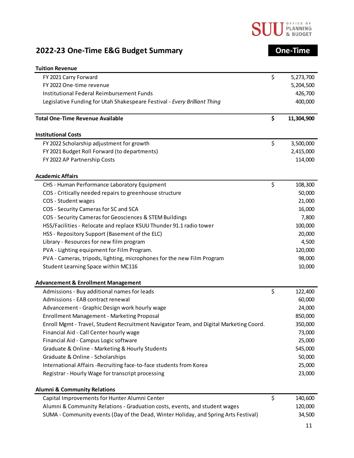

## **2022-23 One-Time E&G Budget Summary One-Time**

| <b>Tuition Revenue</b>                                                                 |                  |
|----------------------------------------------------------------------------------------|------------------|
| FY 2021 Carry Forward                                                                  | \$<br>5,273,700  |
| FY 2022 One-time revenue                                                               | 5,204,500        |
| Institutional Federal Reimbursement Funds                                              | 426,700          |
| Legislative Funding for Utah Shakespeare Festival - Every Brilliant Thing              | 400,000          |
| <b>Total One-Time Revenue Available</b>                                                | \$<br>11,304,900 |
| <b>Institutional Costs</b>                                                             |                  |
| FY 2022 Scholarship adjustment for growth                                              | \$<br>3,500,000  |
| FY 2021 Budget Roll Forward (to departments)                                           | 2,415,000        |
| FY 2022 AP Partnership Costs                                                           | 114,000          |
| <b>Academic Affairs</b>                                                                |                  |
| CHS - Human Performance Laboratory Equipment                                           | \$<br>108,300    |
| COS - Critically needed repairs to greenhouse structure                                | 50,000           |
| COS - Student wages                                                                    | 21,000           |
| COS - Security Cameras for SC and SCA                                                  | 16,000           |
| COS - Security Cameras for Geosciences & STEM Buildings                                | 7,800            |
| HSS/Facilities - Relocate and replace KSUU Thunder 91.1 radio tower                    | 100,000          |
| HSS - Repository Support (Basement of the ELC)                                         | 20,000           |
| Library - Resources for new film program                                               | 4,500            |
| PVA - Lighting equipment for Film Program.                                             | 120,000          |
| PVA - Cameras, tripods, lighting, microphones for the new Film Program                 | 98,000           |
| Student Learning Space within MC116                                                    | 10,000           |
| <b>Advancement &amp; Enrollment Management</b>                                         |                  |
| Admissions - Buy additional names for leads                                            | \$<br>122,400    |
| Admissions - EAB contract renewal                                                      | 60,000           |
| Advancement - Graphic Design work hourly wage                                          | 24,000           |
| Enrollment Management - Marketing Proposal                                             | 850,000          |
| Enroll Mgmt - Travel, Student Recruitment Navigator Team, and Digital Marketing Coord. | 350,000          |
| Financial Aid - Call Center hourly wage                                                | 73,000           |
| Financial Aid - Campus Logic software                                                  | 25,000           |
| Graduate & Online - Marketing & Hourly Students                                        | 545,000          |
| Graduate & Online - Scholarships                                                       | 50,000           |
| International Affairs - Recruiting face-to-face students from Korea                    | 25,000           |
| Registrar - Hourly Wage for transcript processing                                      | 23,000           |
| <b>Alumni &amp; Community Relations</b>                                                |                  |
| Capital Improvements for Hunter Alumni Center                                          | \$<br>140,600    |
| <b>C</b> and a second the                                                              | $\sim$           |

| Alumni & Community Relations - Graduation costs, events, and student wages          | 120,000 |
|-------------------------------------------------------------------------------------|---------|
| SUMA - Community events (Day of the Dead, Winter Holiday, and Spring Arts Festival) | 34,500  |